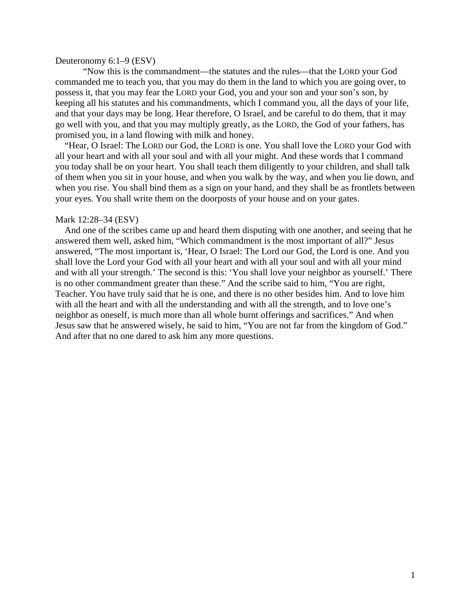## Deuteronomy 6:1–9 (ESV)

"Now this is the commandment—the statutes and the rules—that the LORD your God commanded me to teach you, that you may do them in the land to which you are going over, to possess it, that you may fear the LORD your God, you and your son and your son's son, by keeping all his statutes and his commandments, which I command you, all the days of your life, and that your days may be long. Hear therefore, O Israel, and be careful to do them, that it may go well with you, and that you may multiply greatly, as the LORD, the God of your fathers, has promised you, in a land flowing with milk and honey.

"Hear, O Israel: The LORD our God, the LORD is one. You shall love the LORD your God with all your heart and with all your soul and with all your might. And these words that I command you today shall be on your heart. You shall teach them diligently to your children, and shall talk of them when you sit in your house, and when you walk by the way, and when you lie down, and when you rise. You shall bind them as a sign on your hand, and they shall be as frontlets between your eyes. You shall write them on the doorposts of your house and on your gates.

## Mark 12:28–34 (ESV)

And one of the scribes came up and heard them disputing with one another, and seeing that he answered them well, asked him, "Which commandment is the most important of all?" Jesus answered, "The most important is, 'Hear, O Israel: The Lord our God, the Lord is one. And you shall love the Lord your God with all your heart and with all your soul and with all your mind and with all your strength.' The second is this: 'You shall love your neighbor as yourself.' There is no other commandment greater than these." And the scribe said to him, "You are right, Teacher. You have truly said that he is one, and there is no other besides him. And to love him with all the heart and with all the understanding and with all the strength, and to love one's neighbor as oneself, is much more than all whole burnt offerings and sacrifices." And when Jesus saw that he answered wisely, he said to him, "You are not far from the kingdom of God." And after that no one dared to ask him any more questions.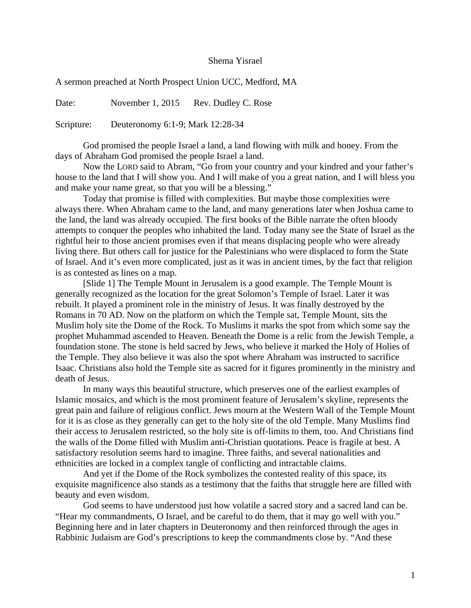## Shema Yisrael

A sermon preached at North Prospect Union UCC, Medford, MA

Date: November 1, 2015 Rev. Dudley C. Rose

Scripture: Deuteronomy 6:1-9; Mark 12:28-34

God promised the people Israel a land, a land flowing with milk and honey. From the days of Abraham God promised the people Israel a land.

Now the LORD said to Abram, "Go from your country and your kindred and your father's house to the land that I will show you. And I will make of you a great nation, and I will bless you and make your name great, so that you will be a blessing."

Today that promise is filled with complexities. But maybe those complexities were always there. When Abraham came to the land, and many generations later when Joshua came to the land, the land was already occupied. The first books of the Bible narrate the often bloody attempts to conquer the peoples who inhabited the land. Today many see the State of Israel as the rightful heir to those ancient promises even if that means displacing people who were already living there. But others call for justice for the Palestinians who were displaced to form the State of Israel. And it's even more complicated, just as it was in ancient times, by the fact that religion is as contested as lines on a map.

[Slide 1] The Temple Mount in Jerusalem is a good example. The Temple Mount is generally recognized as the location for the great Solomon's Temple of Israel. Later it was rebuilt. It played a prominent role in the ministry of Jesus. It was finally destroyed by the Romans in 70 AD. Now on the platform on which the Temple sat, Temple Mount, sits the Muslim holy site the Dome of the Rock. To Muslims it marks the spot from which some say the prophet Muhammad ascended to Heaven. Beneath the Dome is a relic from the Jewish Temple, a foundation stone. The stone is held sacred by Jews, who believe it marked the Holy of Holies of the Temple. They also believe it was also the spot where Abraham was instructed to sacrifice Isaac. Christians also hold the Temple site as sacred for it figures prominently in the ministry and death of Jesus.

In many ways this beautiful structure, which preserves one of the earliest examples of Islamic mosaics, and which is the most prominent feature of Jerusalem's skyline, represents the great pain and failure of religious conflict. Jews mourn at the Western Wall of the Temple Mount for it is as close as they generally can get to the holy site of the old Temple. Many Muslims find their access to Jerusalem restricted, so the holy site is off-limits to them, too. And Christians find the walls of the Dome filled with Muslim anti-Christian quotations. Peace is fragile at best. A satisfactory resolution seems hard to imagine. Three faiths, and several nationalities and ethnicities are locked in a complex tangle of conflicting and intractable claims.

And yet if the Dome of the Rock symbolizes the contested reality of this space, its exquisite magnificence also stands as a testimony that the faiths that struggle here are filled with beauty and even wisdom.

God seems to have understood just how volatile a sacred story and a sacred land can be. "Hear my commandments, O Israel, and be careful to do them, that it may go well with you." Beginning here and in later chapters in Deuteronomy and then reinforced through the ages in Rabbinic Judaism are God's prescriptions to keep the commandments close by. "And these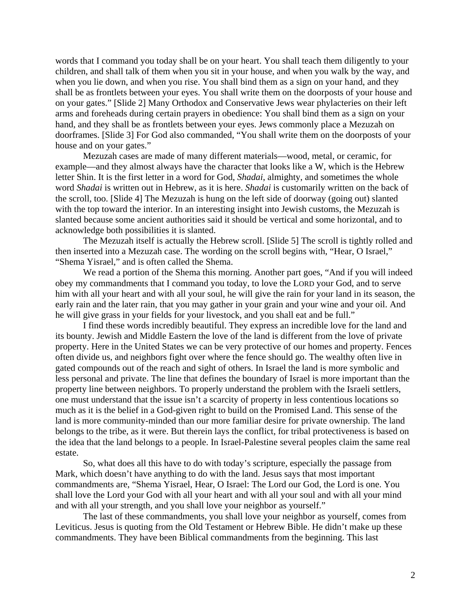words that I command you today shall be on your heart. You shall teach them diligently to your children, and shall talk of them when you sit in your house, and when you walk by the way, and when you lie down, and when you rise. You shall bind them as a sign on your hand, and they shall be as frontlets between your eyes. You shall write them on the doorposts of your house and on your gates." [Slide 2] Many Orthodox and Conservative Jews wear phylacteries on their left arms and foreheads during certain prayers in obedience: You shall bind them as a sign on your hand, and they shall be as frontlets between your eyes. Jews commonly place a Mezuzah on doorframes. [Slide 3] For God also commanded, "You shall write them on the doorposts of your house and on your gates."

Mezuzah cases are made of many different materials—wood, metal, or ceramic, for example—and they almost always have the character that looks like a W, which is the Hebrew letter Shin. It is the first letter in a word for God, *Shadai*, almighty, and sometimes the whole word *Shadai* is written out in Hebrew, as it is here. *Shadai* is customarily written on the back of the scroll, too. [Slide 4] The Mezuzah is hung on the left side of doorway (going out) slanted with the top toward the interior. In an interesting insight into Jewish customs, the Mezuzah is slanted because some ancient authorities said it should be vertical and some horizontal, and to acknowledge both possibilities it is slanted.

The Mezuzah itself is actually the Hebrew scroll. [Slide 5] The scroll is tightly rolled and then inserted into a Mezuzah case. The wording on the scroll begins with, "Hear, O Israel," "Shema Yisrael," and is often called the Shema.

We read a portion of the Shema this morning. Another part goes, "And if you will indeed obey my commandments that I command you today, to love the LORD your God, and to serve him with all your heart and with all your soul, he will give the rain for your land in its season, the early rain and the later rain, that you may gather in your grain and your wine and your oil. And he will give grass in your fields for your livestock, and you shall eat and be full."

I find these words incredibly beautiful. They express an incredible love for the land and its bounty. Jewish and Middle Eastern the love of the land is different from the love of private property. Here in the United States we can be very protective of our homes and property. Fences often divide us, and neighbors fight over where the fence should go. The wealthy often live in gated compounds out of the reach and sight of others. In Israel the land is more symbolic and less personal and private. The line that defines the boundary of Israel is more important than the property line between neighbors. To properly understand the problem with the Israeli settlers, one must understand that the issue isn't a scarcity of property in less contentious locations so much as it is the belief in a God-given right to build on the Promised Land. This sense of the land is more community-minded than our more familiar desire for private ownership. The land belongs to the tribe, as it were. But therein lays the conflict, for tribal protectiveness is based on the idea that the land belongs to a people. In Israel-Palestine several peoples claim the same real estate.

So, what does all this have to do with today's scripture, especially the passage from Mark, which doesn't have anything to do with the land. Jesus says that most important commandments are, "Shema Yisrael, Hear, O Israel: The Lord our God, the Lord is one. You shall love the Lord your God with all your heart and with all your soul and with all your mind and with all your strength, and you shall love your neighbor as yourself."

The last of these commandments, you shall love your neighbor as yourself, comes from Leviticus. Jesus is quoting from the Old Testament or Hebrew Bible. He didn't make up these commandments. They have been Biblical commandments from the beginning. This last